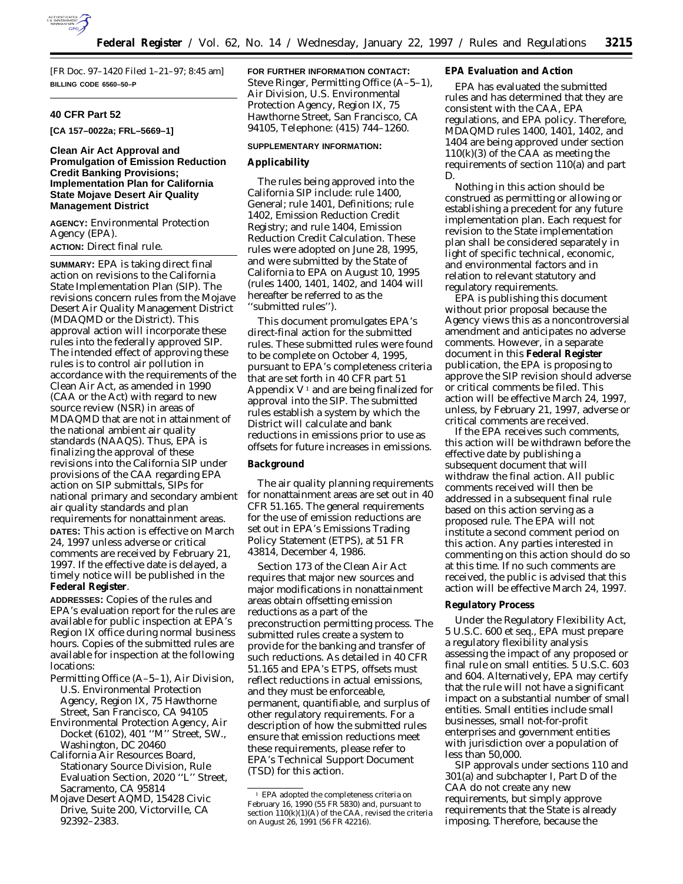

[FR Doc. 97–1420 Filed 1–21–97; 8:45 am] **BILLING CODE 6560–50–P**

### **40 CFR Part 52**

**[CA 157–0022a; FRL–5669–1]**

## **Clean Air Act Approval and Promulgation of Emission Reduction Credit Banking Provisions; Implementation Plan for California State Mojave Desert Air Quality Management District**

**AGENCY:** Environmental Protection Agency (EPA). **ACTION:** Direct final rule.

**SUMMARY:** EPA is taking direct final action on revisions to the California State Implementation Plan (SIP). The revisions concern rules from the Mojave Desert Air Quality Management District (MDAQMD or the District). This approval action will incorporate these rules into the federally approved SIP. The intended effect of approving these rules is to control air pollution in accordance with the requirements of the Clean Air Act, as amended in 1990 (CAA or the Act) with regard to new source review (NSR) in areas of MDAQMD that are not in attainment of the national ambient air quality standards (NAAQS). Thus, EPA is finalizing the approval of these revisions into the California SIP under provisions of the CAA regarding EPA action on SIP submittals, SIPs for national primary and secondary ambient air quality standards and plan requirements for nonattainment areas. **DATES:** This action is effective on March 24, 1997 unless adverse or critical comments are received by February 21, 1997. If the effective date is delayed, a timely notice will be published in the **Federal Register**.

**ADDRESSES:** Copies of the rules and EPA's evaluation report for the rules are available for public inspection at EPA's Region IX office during normal business hours. Copies of the submitted rules are available for inspection at the following locations:

- Permitting Office (A–5–1), Air Division, U.S. Environmental Protection Agency, Region IX, 75 Hawthorne Street, San Francisco, CA 94105
- Environmental Protection Agency, Air Docket (6102), 401 ''M'' Street, SW., Washington, DC 20460
- California Air Resources Board, Stationary Source Division, Rule Evaluation Section, 2020 ''L'' Street, Sacramento, CA 95814
- Mojave Desert AQMD, 15428 Civic Drive, Suite 200, Victorville, CA 92392–2383.

**FOR FURTHER INFORMATION CONTACT:** Steve Ringer, Permitting Office (A–5–1), Air Division, U.S. Environmental Protection Agency, Region IX, 75 Hawthorne Street, San Francisco, CA 94105, Telephone: (415) 744–1260.

### **SUPPLEMENTARY INFORMATION:**

#### **Applicability**

The rules being approved into the California SIP include: rule 1400, General; rule 1401, Definitions; rule 1402, Emission Reduction Credit Registry; and rule 1404, Emission Reduction Credit Calculation. These rules were adopted on June 28, 1995, and were submitted by the State of California to EPA on August 10, 1995 (rules 1400, 1401, 1402, and 1404 will hereafter be referred to as the ''submitted rules'').

This document promulgates EPA's direct-final action for the submitted rules. These submitted rules were found to be complete on October 4, 1995, pursuant to EPA's completeness criteria that are set forth in 40 CFR part 51 Appendix  $V^1$  and are being finalized for approval into the SIP. The submitted rules establish a system by which the District will calculate and bank reductions in emissions prior to use as offsets for future increases in emissions.

### **Background**

The air quality planning requirements for nonattainment areas are set out in 40 CFR 51.165. The general requirements for the use of emission reductions are set out in EPA's Emissions Trading Policy Statement (ETPS), at 51 FR 43814, December 4, 1986.

Section 173 of the Clean Air Act requires that major new sources and major modifications in nonattainment areas obtain offsetting emission reductions as a part of the preconstruction permitting process. The submitted rules create a system to provide for the banking and transfer of such reductions. As detailed in 40 CFR 51.165 and EPA's ETPS, offsets must reflect reductions in actual emissions, and they must be enforceable, permanent, quantifiable, and surplus of other regulatory requirements. For a description of how the submitted rules ensure that emission reductions meet these requirements, please refer to EPA's Technical Support Document (TSD) for this action.

# **EPA Evaluation and Action**

EPA has evaluated the submitted rules and has determined that they are consistent with the CAA, EPA regulations, and EPA policy. Therefore, MDAQMD rules 1400, 1401, 1402, and 1404 are being approved under section 110(k)(3) of the CAA as meeting the requirements of section 110(a) and part D.

Nothing in this action should be construed as permitting or allowing or establishing a precedent for any future implementation plan. Each request for revision to the State implementation plan shall be considered separately in light of specific technical, economic, and environmental factors and in relation to relevant statutory and regulatory requirements.

EPA is publishing this document without prior proposal because the Agency views this as a noncontroversial amendment and anticipates no adverse comments. However, in a separate document in this **Federal Register** publication, the EPA is proposing to approve the SIP revision should adverse or critical comments be filed. This action will be effective March 24, 1997, unless, by February 21, 1997, adverse or critical comments are received.

If the EPA receives such comments, this action will be withdrawn before the effective date by publishing a subsequent document that will withdraw the final action. All public comments received will then be addressed in a subsequent final rule based on this action serving as a proposed rule. The EPA will not institute a second comment period on this action. Any parties interested in commenting on this action should do so at this time. If no such comments are received, the public is advised that this action will be effective March 24, 1997.

#### **Regulatory Process**

Under the Regulatory Flexibility Act, 5 U.S.C. 600 et seq., EPA must prepare a regulatory flexibility analysis assessing the impact of any proposed or final rule on small entities. 5 U.S.C. 603 and 604. Alternatively, EPA may certify that the rule will not have a significant impact on a substantial number of small entities. Small entities include small businesses, small not-for-profit enterprises and government entities with jurisdiction over a population of less than 50,000.

SIP approvals under sections 110 and 301(a) and subchapter I, Part D of the CAA do not create any new requirements, but simply approve requirements that the State is already imposing. Therefore, because the

<sup>1</sup> EPA adopted the completeness criteria on February 16, 1990 (55 FR 5830) and, pursuant to section 110(k)(1)(A) of the CAA, revised the criteria on August 26, 1991 (56 FR 42216).